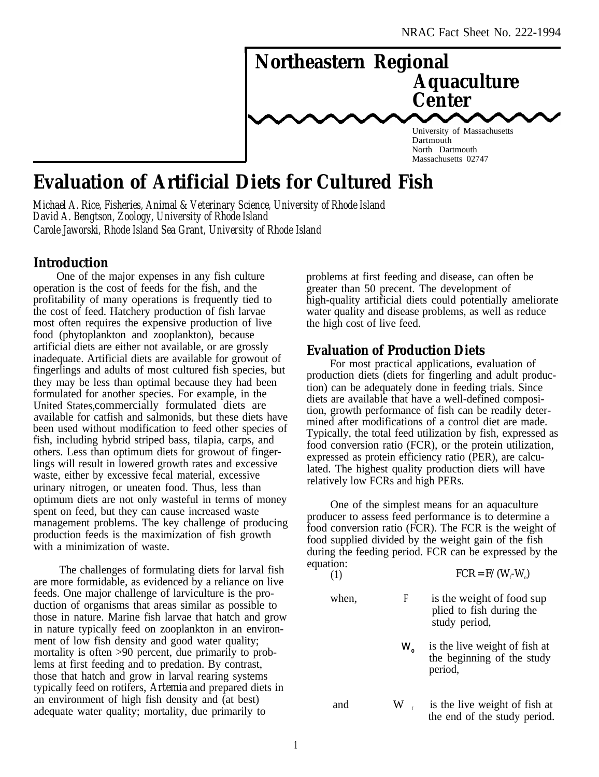

# **Evaluation of Artificial Diets for Cultured Fish**

*Michael A. Rice, Fisheries, Animal & Veterinary Science, University of Rhode Island David A. Bengtson, Zoology, University of Rhode Island Carole Jaworski, Rhode Island Sea Grant, University of Rhode Island*

# **Introduction**

One of the major expenses in any fish culture operation is the cost of feeds for the fish, and the profitability of many operations is frequently tied to the cost of feed. Hatchery production of fish larvae most often requires the expensive production of live food (phytoplankton and zooplankton), because artificial diets are either not available, or are grossly inadequate. Artificial diets are available for growout of fingerlings and adults of most cultured fish species, but they may be less than optimal because they had been formulated for another species. For example, in the United States,commercially formulated diets are available for catfish and salmonids, but these diets have been used without modification to feed other species of fish, including hybrid striped bass, tilapia, carps, and others. Less than optimum diets for growout of fingerlings will result in lowered growth rates and excessive waste, either by excessive fecal material, excessive urinary nitrogen, or uneaten food. Thus, less than optimum diets are not only wasteful in terms of money spent on feed, but they can cause increased waste management problems. The key challenge of producing production feeds is the maximization of fish growth with a minimization of waste.

The challenges of formulating diets for larval fish are more formidable, as evidenced by a reliance on live feeds. One major challenge of larviculture is the production of organisms that areas similar as possible to those in nature. Marine fish larvae that hatch and grow in nature typically feed on zooplankton in an environment of low fish density and good water quality; mortality is often >90 percent, due primarily to problems at first feeding and to predation. By contrast, those that hatch and grow in larval rearing systems typically feed on rotifers, *Artemia* and prepared diets in an environment of high fish density and (at best) adequate water quality; mortality, due primarily to

problems at first feeding and disease, can often be greater than 50 precent. The development of high-quality artificial diets could potentially ameliorate water quality and disease problems, as well as reduce the high cost of live feed.

## **Evaluation of Production Diets**

For most practical applications, evaluation of production diets (diets for fingerling and adult production) can be adequately done in feeding trials. Since diets are available that have a well-defined composition, growth performance of fish can be readily determined after modifications of a control diet are made. Typically, the total feed utilization by fish, expressed as food conversion ratio (FCR), or the protein utilization, expressed as protein efficiency ratio (PER), are calculated. The highest quality production diets will have relatively low FCRs and high PERs.

One of the simplest means for an aquaculture producer to assess feed performance is to determine a food conversion ratio (FCR). The FCR is the weight of food supplied divided by the weight gain of the fish during the feeding period. FCR can be expressed by the equation:

|       |                | $FCR = F/(W - W)$                                                      |
|-------|----------------|------------------------------------------------------------------------|
| when, | F              | is the weight of food sup<br>plied to fish during the<br>study period, |
|       | W`             | is the live weight of fish at<br>the beginning of the study<br>period, |
| and   | $W_{\text{f}}$ | is the live weight of fish at<br>the end of the study period.          |

 $(1)$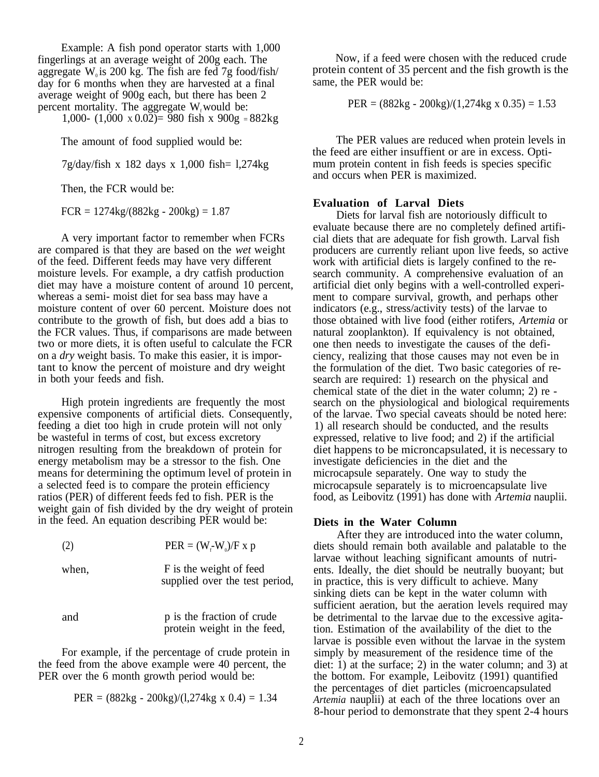Example: A fish pond operator starts with 1,000 day for 6 months when they are harvested at a final average weight of 900g each, but there has been 2 percent mortality. The aggregate W<sub>r</sub> would be:  $PER = (882kg - 200kg)/(1,274kg \times 0.35) = 1.53$ 

1,000-  $(1,000 \times 0.02) = 980$  fish x  $900g = 882kg$ 

Then, the FCR would be:

 $FCR = 1274kg/(882kg - 200kg) = 1.87$ 

A very important factor to remember when FCRs are compared is that they are based on the *wet* weight of the feed. Different feeds may have very different moisture levels. For example, a dry catfish production diet may have a moisture content of around 10 percent, whereas a semi- moist diet for sea bass may have a moisture content of over 60 percent. Moisture does not contribute to the growth of fish, but does add a bias to the FCR values. Thus, if comparisons are made between two or more diets, it is often useful to calculate the FCR on a *dry* weight basis. To make this easier, it is important to know the percent of moisture and dry weight in both your feeds and fish.

High protein ingredients are frequently the most expensive components of artificial diets. Consequently, feeding a diet too high in crude protein will not only be wasteful in terms of cost, but excess excretory nitrogen resulting from the breakdown of protein for energy metabolism may be a stressor to the fish. One means for determining the optimum level of protein in a selected feed is to compare the protein efficiency ratios (PER) of different feeds fed to fish. PER is the weight gain of fish divided by the dry weight of protein in the feed. An equation describing PER would be:

| (2)   | $PER = (Wf-W0)/F x p$                                     |
|-------|-----------------------------------------------------------|
| when, | F is the weight of feed<br>supplied over the test period, |

and p is the fraction of crude protein weight in the feed,

For example, if the percentage of crude protein in the feed from the above example were 40 percent, the PER over the 6 month growth period would be:

PER = 
$$
(882\text{kg} - 200\text{kg})/(1,274\text{kg} \times 0.4) = 1.34
$$

fingerlings at an average weight of 200g each. The Now, if a feed were chosen with the reduced crude aggregate  $W<sub>a</sub>$  is 200 kg. The fish are fed 7g food/fish/ protein content of 35 percent and the fish growth is the protein content of 35 percent and the fish growth is the same, the PER would be:

The amount of food supplied would be: The PER values are reduced when protein levels in the feed are either insuffient or are in excess. Opti-7g/day/fish x 182 days x 1,000 fish= l,274kg mum protein content in fish feeds is species specific and occurs when PER is maximized.

#### **Evaluation of Larval Diets**

Diets for larval fish are notoriously difficult to evaluate because there are no completely defined artificial diets that are adequate for fish growth. Larval fish producers are currently reliant upon live feeds, so active work with artificial diets is largely confined to the research community. A comprehensive evaluation of an artificial diet only begins with a well-controlled experiment to compare survival, growth, and perhaps other indicators (e.g., stress/activity tests) of the larvae to those obtained with live food (either rotifers, *Artemia* or natural zooplankton). If equivalency is not obtained, one then needs to investigate the causes of the deficiency, realizing that those causes may not even be in the formulation of the diet. Two basic categories of research are required: 1) research on the physical and chemical state of the diet in the water column; 2) re search on the physiological and biological requirements of the larvae. Two special caveats should be noted here: 1) all research should be conducted, and the results expressed, relative to live food; and 2) if the artificial diet happens to be microncapsulated, it is necessary to investigate deficiencies in the diet and the microcapsule separately. One way to study the microcapsule separately is to microencapsulate live food, as Leibovitz (1991) has done with *Artemia* nauplii.

#### **Diets in the Water Column**

After they are introduced into the water column, diets should remain both available and palatable to the larvae without leaching significant amounts of nutrients. Ideally, the diet should be neutrally buoyant; but in practice, this is very difficult to achieve. Many sinking diets can be kept in the water column with sufficient aeration, but the aeration levels required may be detrimental to the larvae due to the excessive agitation. Estimation of the availability of the diet to the larvae is possible even without the larvae in the system simply by measurement of the residence time of the diet: 1) at the surface; 2) in the water column; and 3) at the bottom. For example, Leibovitz (1991) quantified the percentages of diet particles (microencapsulated *Artemia* nauplii) at each of the three locations over an 8-hour period to demonstrate that they spent 2-4 hours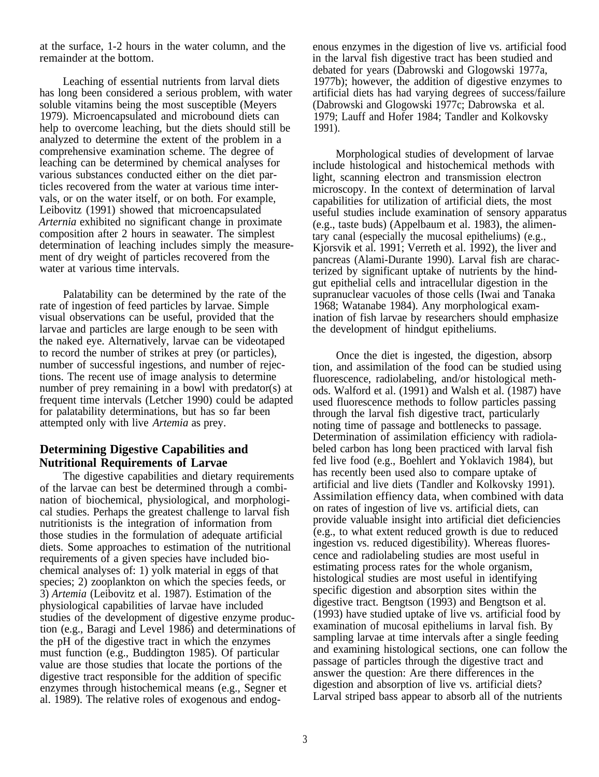at the surface, 1-2 hours in the water column, and the remainder at the bottom.

Leaching of essential nutrients from larval diets has long been considered a serious problem, with water soluble vitamins being the most susceptible (Meyers 1979). Microencapsulated and microbound diets can help to overcome leaching, but the diets should still be analyzed to determine the extent of the problem in a comprehensive examination scheme. The degree of leaching can be determined by chemical analyses for various substances conducted either on the diet particles recovered from the water at various time intervals, or on the water itself, or on both. For example, Leibovitz (1991) showed that microencapsulated *Arternia* exhibited no significant change in proximate composition after 2 hours in seawater. The simplest determination of leaching includes simply the measurement of dry weight of particles recovered from the water at various time intervals.

Palatability can be determined by the rate of the rate of ingestion of feed particles by larvae. Simple visual observations can be useful, provided that the larvae and particles are large enough to be seen with the naked eye. Alternatively, larvae can be videotaped to record the number of strikes at prey (or particles), number of successful ingestions, and number of rejections. The recent use of image analysis to determine number of prey remaining in a bowl with predator(s) at frequent time intervals (Letcher 1990) could be adapted for palatability determinations, but has so far been attempted only with live *Artemia* as prey.

# **Determining Digestive Capabilities and Nutritional Requirements of Larvae**

The digestive capabilities and dietary requirements of the larvae can best be determined through a combination of biochemical, physiological, and morphological studies. Perhaps the greatest challenge to larval fish nutritionists is the integration of information from those studies in the formulation of adequate artificial diets. Some approaches to estimation of the nutritional requirements of a given species have included biochemical analyses of: 1) yolk material in eggs of that species; 2) zooplankton on which the species feeds, or 3) *Artemia* (Leibovitz et al. 1987). Estimation of the physiological capabilities of larvae have included studies of the development of digestive enzyme production (e.g., Baragi and Level 1986) and determinations of the pH of the digestive tract in which the enzymes must function (e.g., Buddington 1985). Of particular value are those studies that locate the portions of the digestive tract responsible for the addition of specific enzymes through histochemical means (e.g., Segner et al. 1989). The relative roles of exogenous and endogenous enzymes in the digestion of live vs. artificial food in the larval fish digestive tract has been studied and debated for years (Dabrowski and Glogowski 1977a, 1977b); however, the addition of digestive enzymes to artificial diets has had varying degrees of success/failure (Dabrowski and Glogowski 1977c; Dabrowska et al. 1979; Lauff and Hofer 1984; Tandler and Kolkovsky 1991).

Morphological studies of development of larvae include histological and histochemical methods with light, scanning electron and transmission electron microscopy. In the context of determination of larval capabilities for utilization of artificial diets, the most useful studies include examination of sensory apparatus (e.g., taste buds) (Appelbaum et al. 1983), the alimentary canal (especially the mucosal epitheliums) (e.g., Kjorsvik et al. 1991; Verreth et al. 1992), the liver and pancreas (Alami-Durante 1990). Larval fish are characterized by significant uptake of nutrients by the hindgut epithelial cells and intracellular digestion in the supranuclear vacuoles of those cells (Iwai and Tanaka 1968; Watanabe 1984). Any morphological examination of fish larvae by researchers should emphasize the development of hindgut epitheliums.

Once the diet is ingested, the digestion, absorp tion, and assimilation of the food can be studied using fluorescence, radiolabeling, and/or histological methods. Walford et al. (1991) and Walsh et al. (1987) have used fluorescence methods to follow particles passing through the larval fish digestive tract, particularly noting time of passage and bottlenecks to passage. Determination of assimilation efficiency with radiolabeled carbon has long been practiced with larval fish fed live food (e.g., Boehlert and Yoklavich 1984), but has recently been used also to compare uptake of artificial and live diets (Tandler and Kolkovsky 1991). Assimilation effiency data, when combined with data on rates of ingestion of live vs. artificial diets, can provide valuable insight into artificial diet deficiencies (e.g., to what extent reduced growth is due to reduced ingestion vs. reduced digestibility). Whereas fluorescence and radiolabeling studies are most useful in estimating process rates for the whole organism, histological studies are most useful in identifying specific digestion and absorption sites within the digestive tract. Bengtson (1993) and Bengtson et al. (1993) have studied uptake of live vs. artificial food by examination of mucosal epitheliums in larval fish. By sampling larvae at time intervals after a single feeding and examining histological sections, one can follow the passage of particles through the digestive tract and answer the question: Are there differences in the digestion and absorption of live vs. artificial diets? Larval striped bass appear to absorb all of the nutrients